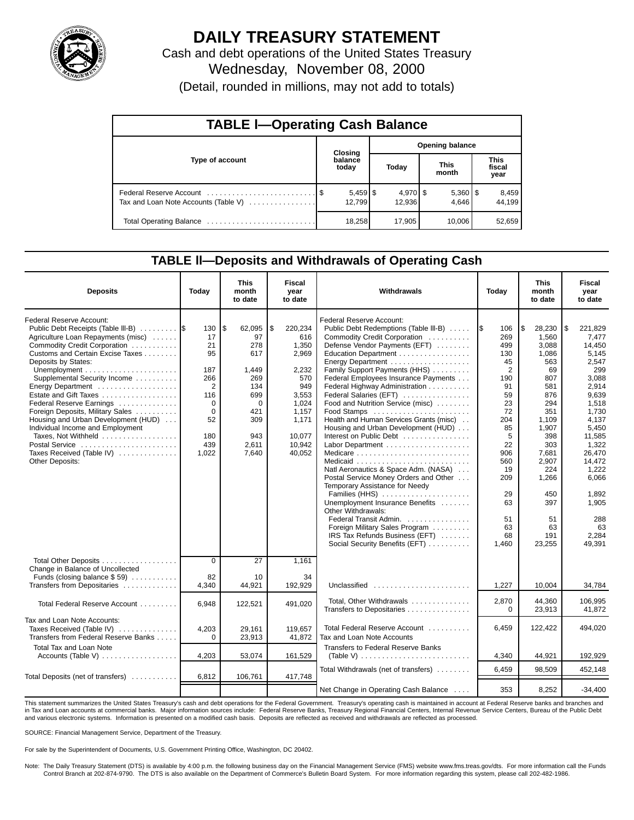

# **DAILY TREASURY STATEMENT**

Cash and debt operations of the United States Treasury Wednesday, November 08, 2000 (Detail, rounded in millions, may not add to totals)

| <b>TABLE I-Operating Cash Balance</b> |  |                  |                        |                      |  |                       |                               |                 |  |  |  |
|---------------------------------------|--|------------------|------------------------|----------------------|--|-----------------------|-------------------------------|-----------------|--|--|--|
|                                       |  | Closing          | <b>Opening balance</b> |                      |  |                       |                               |                 |  |  |  |
| Type of account                       |  | balance<br>today |                        | Today                |  | <b>This</b><br>month  | <b>This</b><br>fiscal<br>year |                 |  |  |  |
| Tax and Loan Note Accounts (Table V)  |  | 12.799           |                        | $4,970$ \$<br>12.936 |  | $5,360$   \$<br>4.646 |                               | 8,459<br>44.199 |  |  |  |
|                                       |  | 18,258           |                        | 17,905               |  | 10,006                |                               | 52,659          |  |  |  |

### **TABLE ll—Deposits and Withdrawals of Operating Cash**

| <b>Deposits</b>                                                                         | Today          | This<br>month<br>to date | <b>Fiscal</b><br>year<br>to date | Withdrawals                                                         | Today    | This<br>month<br>to date | Fiscal<br>year<br>to date |
|-----------------------------------------------------------------------------------------|----------------|--------------------------|----------------------------------|---------------------------------------------------------------------|----------|--------------------------|---------------------------|
| Federal Reserve Account:<br>Public Debt Receipts (Table III-B)                          | 130            | \$<br>62,095             | \$<br>220,234                    | Federal Reserve Account:<br>Public Debt Redemptions (Table III-B)   | 106      | \$<br>28,230             | \$<br>221.829             |
| Agriculture Loan Repayments (misc)                                                      | 17             | 97                       | 616                              | Commodity Credit Corporation                                        | 269      | 1.560                    | 7.477                     |
| Commodity Credit Corporation                                                            | 21             | 278                      | 1,350                            | Defense Vendor Payments (EFT)                                       | 499      | 3.088                    | 14.450                    |
| Customs and Certain Excise Taxes<br>Deposits by States:                                 | 95             | 617                      | 2.969                            | Education Department                                                | 130      | 1.086                    | 5.145                     |
|                                                                                         | 187            |                          |                                  | Family Support Payments (HHS)                                       | 45<br>2  | 563                      | 2,547<br>299              |
| Unemployment $\dots\dots\dots\dots\dots\dots\dots\dots$<br>Supplemental Security Income | 266            | 1,449<br>269             | 2,232<br>570                     | Federal Employees Insurance Payments                                | 190      | 69<br>807                | 3,088                     |
| Energy Department                                                                       | $\overline{2}$ | 134                      | 949                              | Federal Highway Administration                                      | 91       | 581                      | 2,914                     |
| Estate and Gift Taxes                                                                   | 116            | 699                      | 3,553                            | Federal Salaries (EFT)                                              | 59       | 876                      | 9,639                     |
| Federal Reserve Earnings                                                                | $\Omega$       | $\Omega$                 | 1,024                            | Food and Nutrition Service (misc)                                   | 23       | 294                      | 1,518                     |
| Foreign Deposits, Military Sales                                                        | $\Omega$       | 421                      | 1,157                            | Food Stamps                                                         | 72       | 351                      | 1,730                     |
| Housing and Urban Development (HUD)                                                     | 52             | 309                      | 1,171                            | Health and Human Services Grants (misc)                             | 204      | 1,109                    | 4,137                     |
| Individual Income and Employment                                                        |                |                          |                                  | Housing and Urban Development (HUD)                                 | 85       | 1.907                    | 5,450                     |
| Taxes, Not Withheld                                                                     | 180            | 943                      | 10.077                           | Interest on Public Debt                                             | 5        | 398                      | 11,585                    |
| Postal Service                                                                          | 439            | 2.611                    | 10.942                           |                                                                     | 22       | 303                      | 1.322                     |
| Taxes Received (Table IV)                                                               | 1,022          | 7.640                    | 40.052                           |                                                                     | 906      | 7.681                    | 26.470                    |
| <b>Other Deposits:</b>                                                                  |                |                          |                                  |                                                                     | 560      | 2,907                    | 14,472                    |
|                                                                                         |                |                          |                                  | Natl Aeronautics & Space Adm. (NASA)                                | 19       | 224                      | 1,222                     |
|                                                                                         |                |                          |                                  | Postal Service Money Orders and Other                               | 209      | 1,266                    | 6,066                     |
|                                                                                         |                |                          |                                  | Temporary Assistance for Needy                                      |          |                          |                           |
|                                                                                         |                |                          |                                  | Families (HHS)                                                      | 29       | 450                      | 1,892                     |
|                                                                                         |                |                          |                                  | Unemployment Insurance Benefits<br>Other Withdrawals:               | 63       | 397                      | 1,905                     |
|                                                                                         |                |                          |                                  | Federal Transit Admin.                                              | 51       | 51                       | 288                       |
|                                                                                         |                |                          |                                  | Foreign Military Sales Program                                      | 63       | 63                       | 63                        |
|                                                                                         |                |                          |                                  | IRS Tax Refunds Business (EFT)                                      | 68       | 191                      | 2.284                     |
|                                                                                         |                |                          |                                  | Social Security Benefits (EFT)                                      | 1,460    | 23,255                   | 49.391                    |
| Total Other Deposits<br>Change in Balance of Uncollected                                | $\overline{0}$ | 27                       | 1,161                            |                                                                     |          |                          |                           |
| Funds (closing balance $$59$ )                                                          | 82             | 10                       | 34                               |                                                                     |          |                          |                           |
| Transfers from Depositaries                                                             | 4,340          | 44,921                   | 192,929                          | Unclassified $\ldots \ldots \ldots \ldots \ldots \ldots$            | 1,227    | 10,004                   | 34,784                    |
| Total Federal Reserve Account                                                           | 6.948          | 122,521                  | 491.020                          | Total, Other Withdrawals                                            | 2,870    | 44.360                   | 106,995                   |
|                                                                                         |                |                          |                                  | Transfers to Depositaries                                           | $\Omega$ | 23,913                   | 41,872                    |
| Tax and Loan Note Accounts:                                                             |                |                          |                                  |                                                                     |          |                          |                           |
| Taxes Received (Table IV)                                                               | 4,203          | 29,161                   | 119,657                          | Total Federal Reserve Account                                       | 6,459    | 122,422                  | 494,020                   |
| Transfers from Federal Reserve Banks                                                    | $\Omega$       | 23,913                   | 41,872                           | Tax and Loan Note Accounts                                          |          |                          |                           |
| <b>Total Tax and Loan Note</b>                                                          |                |                          |                                  | <b>Transfers to Federal Reserve Banks</b>                           |          |                          |                           |
| Accounts (Table V)                                                                      | 4,203          | 53,074                   | 161,529                          | (Table V) $\ldots \ldots \ldots \ldots \ldots \ldots \ldots \ldots$ | 4,340    | 44,921                   | 192,929                   |
|                                                                                         |                |                          |                                  |                                                                     |          |                          |                           |
| Total Deposits (net of transfers)                                                       | 6,812          | 106,761                  | 417,748                          | Total Withdrawals (net of transfers)                                | 6,459    | 98.509                   | 452,148                   |
|                                                                                         |                |                          |                                  | Net Change in Operating Cash Balance                                | 353      | 8.252                    | $-34.400$                 |

This statement summarizes the United States Treasury's cash and debt operations for the Federal Government. Treasury's operating cash is maintained in account at Federal Reserve banks and branches and in Tax and Loan accounts at commercial banks. Major information sources include: Federal Reserve Banks, Treasury Regional Financial Centers, Internal Revenue Service Centers, Bureau of the Public Debt<br>and various electroni

SOURCE: Financial Management Service, Department of the Treasury.

For sale by the Superintendent of Documents, U.S. Government Printing Office, Washington, DC 20402.

Note: The Daily Treasury Statement (DTS) is available by 4:00 p.m. the following business day on the Financial Management Service (FMS) website www.fms.treas.gov/dts. For more information call the Funds<br>Control Branch at 2